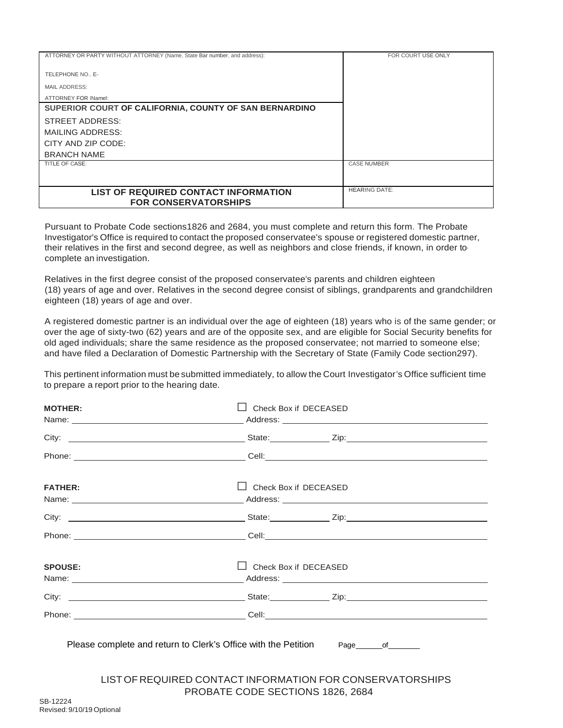| ATTORNEY OR PARTY WITHOUT ATTORNEY (Name, State Bar number, and address): | FOR COURT USE ONLY   |
|---------------------------------------------------------------------------|----------------------|
|                                                                           |                      |
|                                                                           |                      |
| TELEPHONE NO., E-                                                         |                      |
|                                                                           |                      |
| MAIL ADDRESS:                                                             |                      |
| ATTORNEY FOR INamel:                                                      |                      |
|                                                                           |                      |
| SUPERIOR COURT OF CALIFORNIA, COUNTY OF SAN BERNARDINO                    |                      |
| STREET ADDRESS:                                                           |                      |
|                                                                           |                      |
| MAILING ADDRESS:                                                          |                      |
| CITY AND ZIP CODE:                                                        |                      |
|                                                                           |                      |
| <b>BRANCH NAME</b>                                                        |                      |
| <b>TITLE OF CASE:</b>                                                     | <b>CASE NUMBER</b>   |
|                                                                           |                      |
|                                                                           |                      |
|                                                                           |                      |
| LIST OF REQUIRED CONTACT INFORMATION                                      | <b>HEARING DATE:</b> |
|                                                                           |                      |
| <b>FOR CONSERVATORSHIPS</b>                                               |                      |

Pursuant to Probate Code sections1826 and 2684, you must complete and return this form. The Probate Investigator's Office is required to contact the proposed conservatee's spouse or registered domestic partner, their relatives in the first and second degree, as well as neighbors and close friends, if known, in order to· complete an investigation.

Relatives in the first degree consist of the proposed conservatee's parents and children eighteen (18) years of age and over. Relatives in the second degree consist of siblings, grandparents and grandchildren eighteen (18) years of age and over.

A registered domestic partner is an individual over the age of eighteen (18) years who is of the same gender; or over the age of sixty-two (62) years and are of the opposite sex, and are eligible for Social Security benefits for old aged individuals; share the same residence as the proposed conservatee; not married to someone else; and have filed a Declaration of Domestic Partnership with the Secretary of State (Family Code section297).

This pertinent information must be submitted immediately, to allow the Court Investigator's Office sufficient time to prepare a report prior to the hearing date.

| <b>MOTHER:</b>                                                                   | Check Box if DECEASED            |                                                           |
|----------------------------------------------------------------------------------|----------------------------------|-----------------------------------------------------------|
|                                                                                  |                                  |                                                           |
|                                                                                  |                                  |                                                           |
| <b>FATHER:</b>                                                                   | $\Box$ Check Box if DECEASED     |                                                           |
|                                                                                  |                                  |                                                           |
|                                                                                  |                                  |                                                           |
| <b>SPOUSE:</b>                                                                   | Check Box if DECEASED            |                                                           |
|                                                                                  |                                  |                                                           |
|                                                                                  |                                  |                                                           |
| Please complete and return to Clerk's Office with the Petition Page of Communism |                                  |                                                           |
|                                                                                  | PROBATE CODE SECTIONS 1826, 2684 | LIST OF REQUIRED CONTACT INFORMATION FOR CONSERVATORSHIPS |